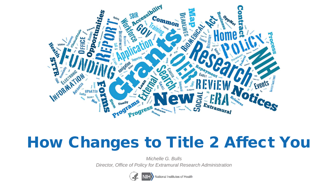

# How Changes to Title 2 Affect You

*Michelle G. Bulls* 

*Director, Office of Policy for Extramural Research Administration*



National Institutes of Health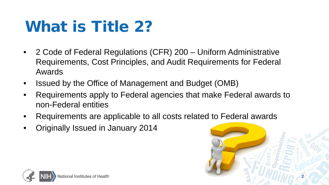# What is Title 2?

- 2 Code of Federal Regulations (CFR) 200 Uniform Administrative Requirements, Cost Principles, and Audit Requirements for Federal Awards
- Issued by the Office of Management and Budget (OMB)
- Requirements apply to Federal agencies that make Federal awards to non-Federal entities
- Requirements are applicable to all costs related to Federal awards
- Originally Issued in January 2014



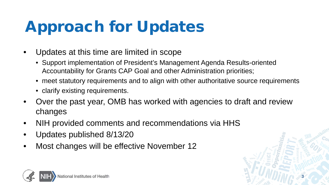# Approach for Updates

- Updates at this time are limited in scope
	- Support implementation of President's Management Agenda Results-oriented Accountability for Grants CAP Goal and other Administration priorities;
	- meet statutory requirements and to align with other authoritative source requirements

**3**

- clarify existing requirements.
- Over the past year, OMB has worked with agencies to draft and review changes
- NIH provided comments and recommendations via HHS
- Updates published 8/13/20
- Most changes will be effective November 12

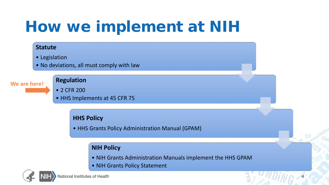# How we implement at NIH

#### **Statute**

• Legislation

• No deviations, all must comply with law

#### **We are here!**

#### **Regulation**

- 2 CFR 200
- HHS Implements at 45 CFR 75

#### **HHS Policy**

• HHS Grants Policy Administration Manual (GPAM)

### **NIH Policy**

• NIH Grants Administration Manuals implement the HHS GPAM

**4**

• NIH Grants Policy Statement

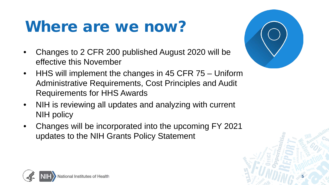## Where are we now?

- Changes to 2 CFR 200 published August 2020 will be effective this November
- HHS will implement the changes in 45 CFR 75 Uniform Administrative Requirements, Cost Principles and Audit Requirements for HHS Awards
- NIH is reviewing all updates and analyzing with current NIH policy
- Changes will be incorporated into the upcoming FY 2021 updates to the NIH Grants Policy Statement





**5**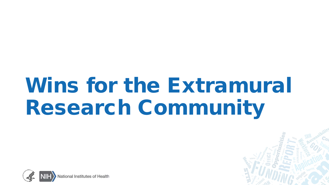# Wins for the Extramural Research Community



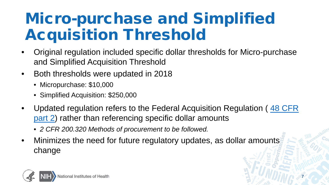# Micro-purchase and Simplified Acquisition Threshold

- Original regulation included specific dollar thresholds for Micro-purchase and Simplified Acquisition Threshold
- Both thresholds were updated in 2018
	- Micropurchase: \$10,000
	- Simplified Acquisition: \$250,000
- [Updated regulation refers to the Federal Acquisition Regulation \(](https://www.federalregister.gov/select-citation/2020/08/13/48-CFR-2)48 CFR part 2) rather than referencing specific dollar amounts

**7**

- *2 CFR 200.320 Methods of procurement to be followed.*
- Minimizes the need for future regulatory updates, as dollar amounts change

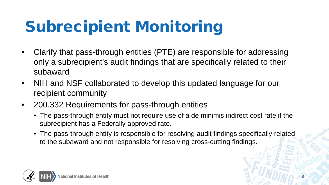# Subrecipient Monitoring

- Clarify that pass-through entities (PTE) are responsible for addressing only a subrecipient's audit findings that are specifically related to their subaward
- NIH and NSF collaborated to develop this updated language for our recipient community
- 200.332 Requirements for pass-through entities
	- The pass-through entity must not require use of a de minimis indirect cost rate if the subrecipient has a Federally approved rate.
	- The pass-through entity is responsible for resolving audit findings specifically related to the subaward and not responsible for resolving cross-cutting findings.

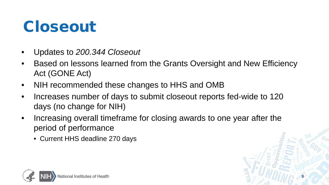## Closeout

- Updates to *200.344 Closeout*
- Based on lessons learned from the Grants Oversight and New Efficiency Act (GONE Act)
- NIH recommended these changes to HHS and OMB
- Increases number of days to submit closeout reports fed-wide to 120 days (no change for NIH)
- Increasing overall timeframe for closing awards to one year after the period of performance

**9**

• Current HHS deadline 270 days

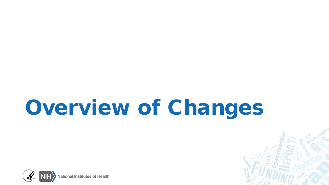# Overview of Changes



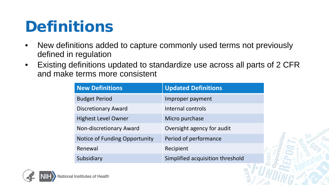## Definitions

- New definitions added to capture commonly used terms not previously defined in regulation
- Existing definitions updated to standardize use across all parts of 2 CFR and make terms more consistent

| <b>New Definitions</b>         | <b>Updated Definitions</b>       |
|--------------------------------|----------------------------------|
| <b>Budget Period</b>           | Improper payment                 |
| <b>Discretionary Award</b>     | Internal controls                |
| <b>Highest Level Owner</b>     | Micro purchase                   |
| <b>Non-discretionary Award</b> | Oversight agency for audit       |
| Notice of Funding Opportunity  | Period of performance            |
| Renewal                        | Recipient                        |
| Subsidiary                     | Simplified acquisition threshold |

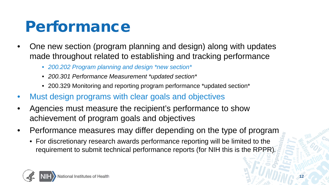## Performance

- One new section (program planning and design) along with updates made throughout related to establishing and tracking performance
	- *200.202 Program planning and design \*new section\**
	- *200.301 Performance Measurement \*updated section\**
	- 200.329 Monitoring and reporting program performance \*updated section\*
- Must design programs with clear goals and objectives
- Agencies must measure the recipient's performance to show achievement of program goals and objectives
- Performance measures may differ depending on the type of program
	- For discretionary research awards performance reporting will be limited to the requirement to submit technical performance reports (for NIH this is the RPPR)*.*

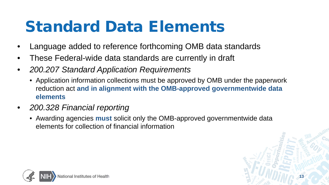# Standard Data Elements

- Language added to reference forthcoming OMB data standards
- These Federal-wide data standards are currently in draft
- *200.207 Standard Application Requirements*
	- Application information collections must be approved by OMB under the paperwork reduction act **and in alignment with the OMB-approved governmentwide data elements**
- *200.328 Financial reporting*
	- Awarding agencies **must** solicit only the OMB-approved governmentwide data elements for collection of financial information

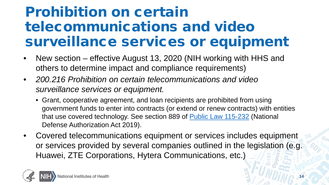### Prohibition on certain telecommunications and video surveillance services or equipment

- New section effective August 13, 2020 (NIH working with HHS and others to determine impact and compliance requirements)
- *200.216 Prohibition on certain telecommunications and video surveillance services or equipment.*
	- Grant, cooperative agreement, and loan recipients are prohibited from using government funds to enter into contracts (or extend or renew contracts) with entities that use covered technology. See section 889 of [Public Law 115-232](https://www.govinfo.gov/link/plaw/115/public/232?link-type=html) (National Defense Authorization Act 2019).
- Covered telecommunications equipment or services includes equipment or services provided by several companies outlined in the legislation (e.g. Huawei, ZTE Corporations, Hytera Communications, etc.)

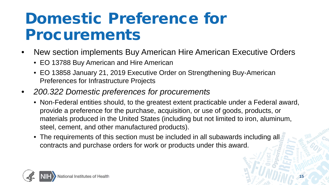## Domestic Preference for Procurements

- New section implements Buy American Hire American Executive Orders
	- EO 13788 Buy American and Hire American
	- EO 13858 January 21, 2019 Executive Order on Strengthening Buy-American Preferences for Infrastructure Projects
- *200.322 Domestic preferences for procurements*
	- Non-Federal entities should, to the greatest extent practicable under a Federal award, provide a preference for the purchase, acquisition, or use of goods, products, or materials produced in the United States (including but not limited to iron, aluminum, steel, cement, and other manufactured products).
	- The requirements of this section must be included in all subawards including all contracts and purchase orders for work or products under this award.

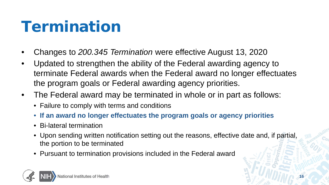# Termination

- Changes to *200.345 Termination* were effective August 13, 2020
- Updated to strengthen the ability of the Federal awarding agency to terminate Federal awards when the Federal award no longer effectuates the program goals or Federal awarding agency priorities.
- The Federal award may be terminated in whole or in part as follows:
	- Failure to comply with terms and conditions
	- **If an award no longer effectuates the program goals or agency priorities**
	- Bi-lateral termination
	- Upon sending written notification setting out the reasons, effective date and, if partial, the portion to be terminated
	- Pursuant to termination provisions included in the Federal award